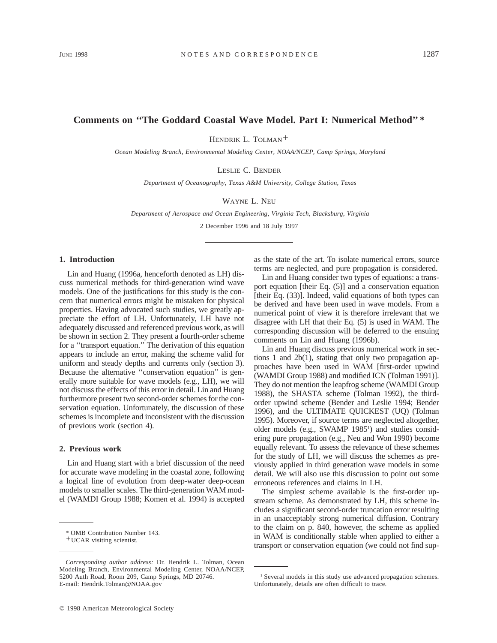# **Comments on ''The Goddard Coastal Wave Model. Part I: Numerical Method'' \***

HENDRIK L. TOLMAN<sup>+</sup>

*Ocean Modeling Branch, Environmental Modeling Center, NOAA/NCEP, Camp Springs, Maryland*

LESLIE C. BENDER

*Department of Oceanography, Texas A&M University, College Station, Texas*

WAYNE L. NEU

*Department of Aerospace and Ocean Engineering, Virginia Tech, Blacksburg, Virginia*

2 December 1996 and 18 July 1997

# **1. Introduction**

Lin and Huang (1996a, henceforth denoted as LH) discuss numerical methods for third-generation wind wave models. One of the justifications for this study is the concern that numerical errors might be mistaken for physical properties. Having advocated such studies, we greatly appreciate the effort of LH. Unfortunately, LH have not adequately discussed and referenced previous work, as will be shown in section 2. They present a fourth-order scheme for a ''transport equation.'' The derivation of this equation appears to include an error, making the scheme valid for uniform and steady depths and currents only (section 3). Because the alternative ''conservation equation'' is generally more suitable for wave models (e.g., LH), we will not discuss the effects of this error in detail. Lin and Huang furthermore present two second-order schemes for the conservation equation. Unfortunately, the discussion of these schemes is incomplete and inconsistent with the discussion of previous work (section 4).

# **2. Previous work**

Lin and Huang start with a brief discussion of the need for accurate wave modeling in the coastal zone, following a logical line of evolution from deep-water deep-ocean models to smaller scales. The third-generation WAM model (WAMDI Group 1988; Komen et al. 1994) is accepted as the state of the art. To isolate numerical errors, source terms are neglected, and pure propagation is considered.

Lin and Huang consider two types of equations: a transport equation [their Eq. (5)] and a conservation equation [their Eq. (33)]. Indeed, valid equations of both types can be derived and have been used in wave models. From a numerical point of view it is therefore irrelevant that we disagree with LH that their Eq. (5) is used in WAM. The corresponding discussion will be deferred to the ensuing comments on Lin and Huang (1996b).

Lin and Huang discuss previous numerical work in sections 1 and 2b(1), stating that only two propagation approaches have been used in WAM [first-order upwind (WAMDI Group 1988) and modified ICN (Tolman 1991)]. They do not mention the leapfrog scheme (WAMDI Group 1988), the SHASTA scheme (Tolman 1992), the thirdorder upwind scheme (Bender and Leslie 1994; Bender 1996), and the ULTIMATE QUICKEST (UQ) (Tolman 1995). Moreover, if source terms are neglected altogether, older models (e.g., SWAMP 1985<sup>1</sup>) and studies considering pure propagation (e.g., Neu and Won 1990) become equally relevant. To assess the relevance of these schemes for the study of LH, we will discuss the schemes as previously applied in third generation wave models in some detail. We will also use this discussion to point out some erroneous references and claims in LH.

The simplest scheme available is the first-order upstream scheme. As demonstrated by LH, this scheme includes a significant second-order truncation error resulting in an unacceptably strong numerical diffusion. Contrary to the claim on p. 840, however, the scheme as applied in WAM is conditionally stable when applied to either a transport or conservation equation (we could not find sup-

<sup>\*</sup> OMB Contribution Number 143.

<sup>+</sup>UCAR visiting scientist.

*Corresponding author address:* Dr. Hendrik L. Tolman, Ocean Modeling Branch, Environmental Modeling Center, NOAA/NCEP, 5200 Auth Road, Room 209, Camp Springs, MD 20746. E-mail: Hendrik.Tolman@NOAA.gov

<sup>1</sup> Several models in this study use advanced propagation schemes. Unfortunately, details are often difficult to trace.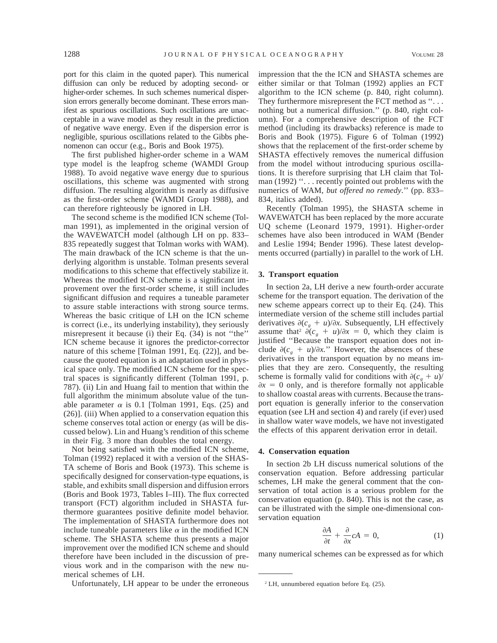port for this claim in the quoted paper). This numerical diffusion can only be reduced by adopting second- or higher-order schemes. In such schemes numerical dispersion errors generally become dominant. These errors manifest as spurious oscillations. Such oscillations are unacceptable in a wave model as they result in the prediction of negative wave energy. Even if the dispersion error is negligible, spurious oscillations related to the Gibbs phenomenon can occur (e.g., Boris and Book 1975).

The first published higher-order scheme in a WAM type model is the leapfrog scheme (WAMDI Group 1988). To avoid negative wave energy due to spurious oscillations, this scheme was augmented with strong diffusion. The resulting algorithm is nearly as diffusive as the first-order scheme (WAMDI Group 1988), and can therefore righteously be ignored in LH.

The second scheme is the modified ICN scheme (Tolman 1991), as implemented in the original version of the WAVEWATCH model (although LH on pp. 833– 835 repeatedly suggest that Tolman works with WAM). The main drawback of the ICN scheme is that the underlying algorithm is unstable. Tolman presents several modifications to this scheme that effectively stabilize it. Whereas the modified ICN scheme is a significant improvement over the first-order scheme, it still includes significant diffusion and requires a tuneable parameter to assure stable interactions with strong source terms. Whereas the basic critique of LH on the ICN scheme is correct (i.e., its underlying instability), they seriously misrepresent it because (i) their Eq. (34) is not ''the'' ICN scheme because it ignores the predictor-corrector nature of this scheme [Tolman 1991, Eq. (22)], and because the quoted equation is an adaptation used in physical space only. The modified ICN scheme for the spectral spaces is significantly different (Tolman 1991, p. 787). (ii) Lin and Huang fail to mention that within the full algorithm the minimum absolute value of the tunable parameter  $\alpha$  is 0.1 [Tolman 1991, Eqs. (25) and (26)]. (iii) When applied to a conservation equation this scheme conserves total action or energy (as will be discussed below). Lin and Huang's rendition of this scheme in their Fig. 3 more than doubles the total energy.

Not being satisfied with the modified ICN scheme, Tolman (1992) replaced it with a version of the SHAS-TA scheme of Boris and Book (1973). This scheme is specifically designed for conservation-type equations, is stable, and exhibits small dispersion and diffusion errors (Boris and Book 1973, Tables I–III). The flux corrected transport (FCT) algorithm included in SHASTA furthermore guarantees positive definite model behavior. The implementation of SHASTA furthermore does not include tuneable parameters like  $\alpha$  in the modified ICN scheme. The SHASTA scheme thus presents a major improvement over the modified ICN scheme and should therefore have been included in the discussion of previous work and in the comparison with the new numerical schemes of LH.

Unfortunately, LH appear to be under the erroneous

impression that the the ICN and SHASTA schemes are either similar or that Tolman (1992) applies an FCT algorithm to the ICN scheme (p. 840, right column). They furthermore misrepresent the FCT method as "... nothing but a numerical diffusion.'' (p. 840, right column). For a comprehensive description of the FCT method (including its drawbacks) reference is made to Boris and Book (1975). Figure 6 of Tolman (1992) shows that the replacement of the first-order scheme by SHASTA effectively removes the numerical diffusion from the model without introducing spurious oscillations. It is therefore surprising that LH claim that Tolman (1992) "... recently pointed out problems with the numerics of WAM, *but offered no remedy.*'' (pp. 833– 834, italics added).

Recently (Tolman 1995), the SHASTA scheme in WAVEWATCH has been replaced by the more accurate UQ scheme (Leonard 1979, 1991). Higher-order schemes have also been introduced in WAM (Bender and Leslie 1994; Bender 1996). These latest developments occurred (partially) in parallel to the work of LH.

#### **3. Transport equation**

In section 2a, LH derive a new fourth-order accurate scheme for the transport equation. The derivation of the new scheme appears correct up to their Eq. (24). This intermediate version of the scheme still includes partial derivatives  $\partial(c_{\alpha} + u)/\partial x$ . Subsequently, LH effectively assume that<sup>2</sup>  $\partial(c_e + u)/\partial x = 0$ , which they claim is justified ''Because the transport equation does not include  $\partial(c_{\rho} + u)/\partial x$ ." However, the absences of these derivatives in the transport equation by no means implies that they are zero. Consequently, the resulting scheme is formally valid for conditions with  $\partial(c_a + u)$  $\partial x = 0$  only, and is therefore formally not applicable to shallow coastal areas with currents. Because the transport equation is generally inferior to the conservation equation (see LH and section 4) and rarely (if ever) used in shallow water wave models, we have not investigated the effects of this apparent derivation error in detail.

#### **4. Conservation equation**

In section 2b LH discuss numerical solutions of the conservation equation. Before addressing particular schemes, LH make the general comment that the conservation of total action is a serious problem for the conservation equation (p. 840). This is not the case, as can be illustrated with the simple one-dimensional conservation equation

$$
\frac{\partial A}{\partial t} + \frac{\partial}{\partial x} cA = 0, \tag{1}
$$

many numerical schemes can be expressed as for which

<sup>2</sup> LH, unnumbered equation before Eq. (25).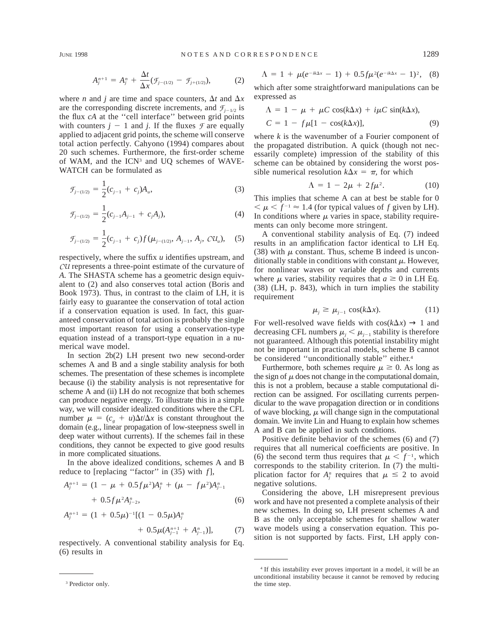$$
A_j^{n+1} = A_j^n + \frac{\Delta t}{\Delta x} (\mathcal{F}_{j-(1/2)} - \mathcal{F}_{j+(1/2)}), \tag{2}
$$

where *n* and *j* are time and space counters,  $\Delta t$  and  $\Delta x$ are the corresponding discrete increments, and  $\mathcal{F}_{i-1/2}$  is the flux *cA* at the ''cell interface'' between grid points with counters  $j - 1$  and *j*. If the fluxes  $\mathcal F$  are equally applied to adjacent grid points, the scheme will conserve total action perfectly. Cahyono (1994) compares about 20 such schemes. Furthermore, the first-order scheme of WAM, and the ICN<sup>3</sup> and UQ schemes of WAVE-WATCH can be formulated as

$$
\mathcal{F}_{j-(1/2)} = \frac{1}{2}(c_{j-1} + c_j)A_u, \tag{3}
$$

$$
\mathcal{F}_{j-(1/2)} = \frac{1}{2}(c_{j-1}A_{j-1} + c_jA_j),\tag{4}
$$

$$
\mathcal{F}_{j-(1/2)} = \frac{1}{2}(c_{j-1} + c_j) f(\mu_{j-(1/2)}, A_{j-1}, A_j, \mathcal{C} \mathcal{U}_u), \quad (5)
$$

respectively, where the suffix *u* identifies upstream, and *CU* represents a three-point estimate of the curvature of *A.* The SHASTA scheme has a geometric design equivalent to (2) and also conserves total action (Boris and Book 1973). Thus, in contrast to the claim of LH, it is fairly easy to guarantee the conservation of total action if a conservation equation is used. In fact, this guaranteed conservation of total action is probably the single most important reason for using a conservation-type equation instead of a transport-type equation in a numerical wave model.

In section 2b(2) LH present two new second-order schemes A and B and a single stability analysis for both schemes. The presentation of these schemes is incomplete because (i) the stability analysis is not representative for scheme A and (ii) LH do not recognize that both schemes can produce negative energy. To illustrate this in a simple way, we will consider idealized conditions where the CFL number  $\mu = (c_g + u)\Delta t/\Delta x$  is constant throughout the domain (e.g., linear propagation of low-steepness swell in deep water without currents). If the schemes fail in these conditions, they cannot be expected to give good results in more complicated situations.

In the above idealized conditions, schemes A and B reduce to [replacing ''factor'' in (35) with *f*],

$$
A_{j}^{n+1} = (1 - \mu + 0.5f\mu^{2})A_{j}^{n} + (\mu - f\mu^{2})A_{j-1}^{n}
$$
  
+ 0.5f\mu^{2}A\_{j-2}^{n}, (6)

$$
A_{j}^{n+1} = (1 + 0.5\mu)^{-1}[(1 - 0.5\mu)A_{j}^{n} + 0.5\mu(A_{j-1}^{n+1} + A_{j-1}^{n})], \qquad (7)
$$

respectively. A conventional stability analysis for Eq. (6) results in

$$
\Lambda = 1 + \mu(e^{-ik\Delta x} - 1) + 0.5f\mu^{2}(e^{-ik\Delta x} - 1)^{2}, \quad (8)
$$

which after some straightforward manipulations can be expressed as

$$
\Lambda = 1 - \mu + \mu C \cos(k\Delta x) + i\mu C \sin(k\Delta x),
$$
  
\n
$$
C = 1 - f\mu[1 - \cos(k\Delta x)],
$$
\n(9)

where *k* is the wavenumber of a Fourier component of the propagated distribution. A quick (though not necessarily complete) impression of the stability of this scheme can be obtained by considering the worst possible numerical resolution  $k\Delta x = \pi$ , for which

$$
\Lambda = 1 - 2\mu + 2f\mu^2. \tag{10}
$$

This implies that scheme A can at best be stable for 0  $\mu < \mu < f^{-1} \approx 1.4$  (for typical values of f given by LH). In conditions where  $\mu$  varies in space, stability requirements can only become more stringent.

A conventional stability analysis of Eq. (7) indeed results in an amplification factor identical to LH Eq. (38) with  $\mu$  constant. Thus, scheme B indeed is unconditionally stable in conditions with constant  $\mu$ . However, for nonlinear waves or variable depths and currents where  $\mu$  varies, stability requires that  $a \geq 0$  in LH Eq. (38) (LH, p. 843), which in turn implies the stability requirement

$$
\mu_j \ge \mu_{j-1} \cos(k\Delta x). \tag{11}
$$

For well-resolved wave fields with  $\cos(k\Delta x) \rightarrow 1$  and decreasing CFL numbers  $\mu_i < \mu_{i-1}$  stability is therefore not guaranteed. Although this potential instability might not be important in practical models, scheme B cannot be considered "unconditionally stable" either.<sup>4</sup>

Furthermore, both schemes require  $\mu \geq 0$ . As long as the sign of  $\mu$  does not change in the computational domain, this is not a problem, because a stable computational direction can be assigned. For oscillating currents perpendicular to the wave propagation direction or in conditions of wave blocking,  $\mu$  will change sign in the computational domain. We invite Lin and Huang to explain how schemes A and B can be applied in such conditions.

Positive definite behavior of the schemes (6) and (7) requires that all numerical coefficients are positive. In (6) the second term thus requires that  $\mu < f^{-1}$ , which corresponds to the stability criterion. In (7) the multiplication factor for  $A_j^n$  requires that  $\mu \leq 2$  to avoid negative solutions.

Considering the above, LH misrepresent previous work and have not presented a complete analysis of their new schemes. In doing so, LH present schemes A and B as the only acceptable schemes for shallow water wave models using a conservation equation. This position is not supported by facts. First, LH apply con-

<sup>3</sup> Predictor only.

<sup>4</sup> If this instability ever proves important in a model, it will be an unconditional instability because it cannot be removed by reducing the time step.